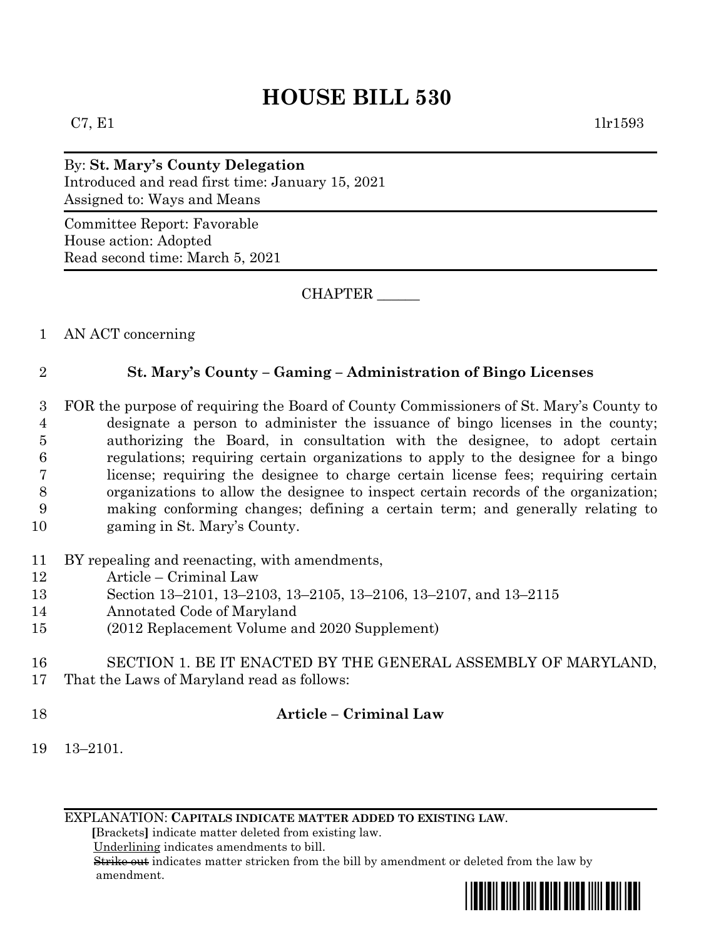# **HOUSE BILL 530**

By: **St. Mary's County Delegation** Introduced and read first time: January 15, 2021 Assigned to: Ways and Means

Committee Report: Favorable House action: Adopted Read second time: March 5, 2021

CHAPTER \_\_\_\_\_\_

1 AN ACT concerning

# 2 **St. Mary's County – Gaming – Administration of Bingo Licenses**

 FOR the purpose of requiring the Board of County Commissioners of St. Mary's County to designate a person to administer the issuance of bingo licenses in the county; authorizing the Board, in consultation with the designee, to adopt certain regulations; requiring certain organizations to apply to the designee for a bingo license; requiring the designee to charge certain license fees; requiring certain organizations to allow the designee to inspect certain records of the organization; making conforming changes; defining a certain term; and generally relating to gaming in St. Mary's County.

- 11 BY repealing and reenacting, with amendments,
- 12 Article Criminal Law
- 13 Section 13–2101, 13–2103, 13–2105, 13–2106, 13–2107, and 13–2115
- 14 Annotated Code of Maryland
- 15 (2012 Replacement Volume and 2020 Supplement)
- 16 SECTION 1. BE IT ENACTED BY THE GENERAL ASSEMBLY OF MARYLAND,
- 17 That the Laws of Maryland read as follows:
- 

# 18 **Article – Criminal Law**

19 13–2101.

EXPLANATION: **CAPITALS INDICATE MATTER ADDED TO EXISTING LAW**.

 **[**Brackets**]** indicate matter deleted from existing law.

Underlining indicates amendments to bill.

 Strike out indicates matter stricken from the bill by amendment or deleted from the law by amendment.

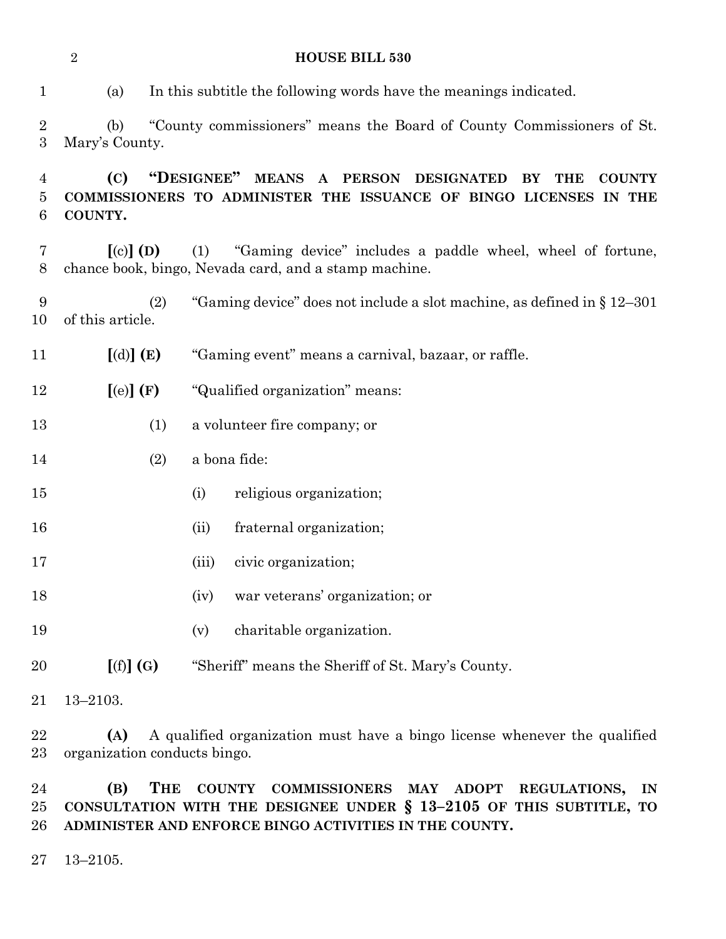|                                    | $\overline{2}$                  | <b>HOUSE BILL 530</b>                                                                                                                                       |  |
|------------------------------------|---------------------------------|-------------------------------------------------------------------------------------------------------------------------------------------------------------|--|
| $\mathbf{1}$                       | (a)                             | In this subtitle the following words have the meanings indicated.                                                                                           |  |
| $\overline{2}$<br>$\boldsymbol{3}$ | (b)<br>Mary's County.           | "County commissioners" means the Board of County Commissioners of St.                                                                                       |  |
| 4<br>5<br>6                        | (C)<br>COUNTY.                  | "DESIGNEE"<br><b>MEANS</b><br>A PERSON DESIGNATED<br>BY<br><b>THE</b><br><b>COUNTY</b><br>COMMISSIONERS TO ADMINISTER THE ISSUANCE OF BINGO LICENSES IN THE |  |
| 7<br>8                             | $\left[ \text{(c)} \right]$ (D) | (1)<br>"Gaming device" includes a paddle wheel, wheel of fortune,<br>chance book, bingo, Nevada card, and a stamp machine.                                  |  |
| 9<br>10                            | (2)<br>of this article.         | "Gaming device" does not include a slot machine, as defined in $\S 12-301$                                                                                  |  |
| 11                                 | [(d)] (E)                       | "Gaming event" means a carnival, bazaar, or raffle.                                                                                                         |  |
| 12                                 | [(e)](F)                        | "Qualified organization" means:                                                                                                                             |  |
| 13                                 | (1)                             | a volunteer fire company; or                                                                                                                                |  |
| 14                                 | (2)                             | a bona fide:                                                                                                                                                |  |
| 15                                 |                                 | religious organization;<br>(i)                                                                                                                              |  |
| 16                                 |                                 | fraternal organization;<br>(ii)                                                                                                                             |  |
| 17                                 |                                 | civic organization;<br>(iii)                                                                                                                                |  |
| 18                                 |                                 | war veterans' organization; or<br>(iv)                                                                                                                      |  |
| 19                                 |                                 | charitable organization.<br>(v)                                                                                                                             |  |
| 20                                 | [(f)](G)                        | "Sheriff" means the Sheriff of St. Mary's County.                                                                                                           |  |
| 21                                 | $13 - 2103.$                    |                                                                                                                                                             |  |

 **(A)** A qualified organization must have a bingo license whenever the qualified organization conducts bingo.

 **(B) THE COUNTY COMMISSIONERS MAY ADOPT REGULATIONS, IN CONSULTATION WITH THE DESIGNEE UNDER § 13–2105 OF THIS SUBTITLE, TO ADMINISTER AND ENFORCE BINGO ACTIVITIES IN THE COUNTY.**

13–2105.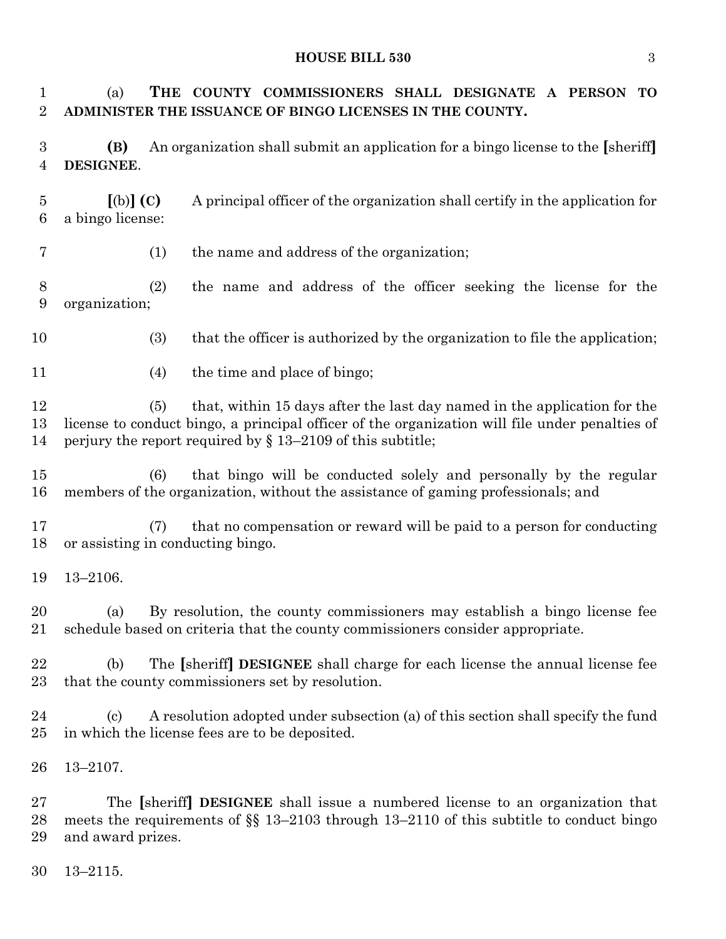### **HOUSE BILL 530** 3

 (a) **THE COUNTY COMMISSIONERS SHALL DESIGNATE A PERSON TO ADMINISTER THE ISSUANCE OF BINGO LICENSES IN THE COUNTY. (B)** An organization shall submit an application for a bingo license to the **[**sheriff**] DESIGNEE**. **[**(b)**] (C)** A principal officer of the organization shall certify in the application for a bingo license: (1) the name and address of the organization; (2) the name and address of the officer seeking the license for the organization; (3) that the officer is authorized by the organization to file the application; 11 (4) the time and place of bingo; (5) that, within 15 days after the last day named in the application for the license to conduct bingo, a principal officer of the organization will file under penalties of perjury the report required by § 13–2109 of this subtitle; (6) that bingo will be conducted solely and personally by the regular members of the organization, without the assistance of gaming professionals; and (7) that no compensation or reward will be paid to a person for conducting or assisting in conducting bingo. 13–2106. (a) By resolution, the county commissioners may establish a bingo license fee schedule based on criteria that the county commissioners consider appropriate. (b) The **[**sheriff**] DESIGNEE** shall charge for each license the annual license fee that the county commissioners set by resolution. (c) A resolution adopted under subsection (a) of this section shall specify the fund in which the license fees are to be deposited. 13–2107. The **[**sheriff**] DESIGNEE** shall issue a numbered license to an organization that meets the requirements of §§ 13–2103 through 13–2110 of this subtitle to conduct bingo and award prizes.

13–2115.